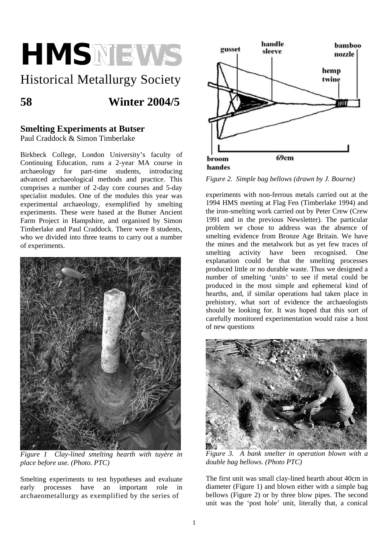

# Historical Metallurgy Society

**58 Winter 2004/5** 

## **Smelting Experiments at Butser**

Paul Craddock & Simon Timberlake

Birkbeck College, London University's faculty of Continuing Education, runs a 2-year MA course in archaeology for part-time students, introducing advanced archaeological methods and practice. This comprises a number of 2-day core courses and 5-day specialist modules. One of the modules this year was experimental archaeology, exemplified by smelting experiments. These were based at the Butser Ancient Farm Project in Hampshire, and organised by Simon Timberlake and Paul Craddock. There were 8 students, who we divided into three teams to carry out a number of experiments.



*Figure 1 Clay-lined smelting hearth with tuyère in place before use. (Photo. PTC)* 

Smelting experiments to test hypotheses and evaluate early processes have an important role in archaeometallurgy as exemplified by the series of



*Figure 2. Simple bag bellows (drawn by J. Bourne)* 

experiments with non-ferrous metals carried out at the 1994 HMS meeting at Flag Fen (Timberlake 1994) and the iron-smelting work carried out by Peter Crew (Crew 1991 and in the previous Newsletter). The particular problem we chose to address was the absence of smelting evidence from Bronze Age Britain. We have the mines and the metalwork but as yet few traces of smelting activity have been recognised. One explanation could be that the smelting processes produced little or no durable waste. Thus we designed a number of smelting 'units' to see if metal could be produced in the most simple and ephemeral kind of hearths, and, if similar operations had taken place in prehistory, what sort of evidence the archaeologists should be looking for. It was hoped that this sort of carefully monitored experimentation would raise a host of new questions



*Figure 3. A bank smelter in operation blown with a double bag bellows. (Photo PTC)* 

The first unit was small clay-lined hearth about 40cm in diameter (Figure 1) and blown either with a simple bag bellows (Figure 2) or by three blow pipes. The second unit was the 'post hole' unit, literally that, a conical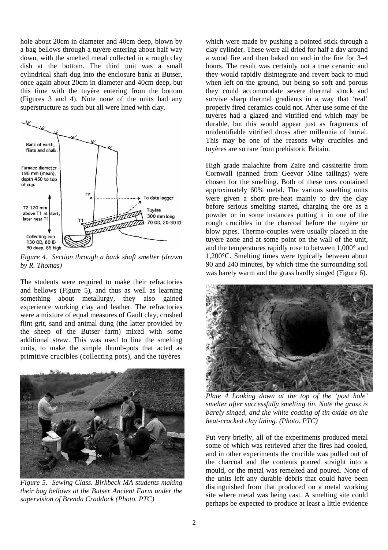hole about 20cm in diameter and 40cm deep, blown by a bag bellows through a tuyère entering about half way down, with the smelted metal collected in a rough clay dish at the bottom. The third unit was a small cylindrical shaft dug into the enclosure bank at Butser, once again about 20cm in diameter and 40cm deep, but this time with the tuyère entering from the bottom (Figures 3 and 4). Note none of the units had any superstructure as such but all were lined with clay.



*Figure 4. Section through a bank shaft smelter (drawn by R. Thomas)* 

The students were required to make their refractories and bellows (Figure 5), and thus as well as learning something about metallurgy, they also gained experience working clay and leather. The refractories were a mixture of equal measures of Gault clay, crushed flint grit, sand and animal dung (the latter provided by the sheep of the Butser farm) mixed with some additional straw. This was used to line the smelting units, to make the simple thumb-pots that acted as primitive crucibles (collecting pots), and the tuyères



*Figure 5. Sewing Class. Birkbeck MA students making their bag bellows at the Butser Ancient Farm under the supervision of Brenda Craddock (Photo. PTC)* 

which were made by pushing a pointed stick through a clay cylinder. These were all dried for half a day around a wood fire and then baked on and in the fire for 3–4 hours. The result was certainly not a true ceramic and they would rapidly disintegrate and revert back to mud when left on the ground, but being so soft and porous they could accommodate severe thermal shock and survive sharp thermal gradients in a way that 'real' properly fired ceramics could not. After use some of the tuyères had a glazed and vitrified end which may be durable, but this would appear just as fragments of unidentifiable vitrified dross after millennia of burial. This may be one of the reasons why crucibles and tuyères are so rare from prehistoric Britain.

High grade malachite from Zaire and cassiterite from Cornwall (panned from Geevor Mine tailings) were chosen for the smelting. Both of these ores contained approximately 60% metal. The various smelting units were given a short pre-heat mainly to dry the clay before serious smelting started, charging the ore as a powder or in some instances putting it in one of the rough crucibles in the charcoal before the tuyère or blow pipes. Thermo-couples were usually placed in the tuyère zone and at some point on the wall of the unit, and the temperatures rapidly rose to between 1,000° and 1,200°C. Smelting times were typically between about 90 and 240 minutes, by which time the surrounding soil was barely warm and the grass hardly singed (Figure 6).



*Plate 4 Looking down at the top of the 'post hole' smelter after successfully smelting tin. Note the grass is barely singed, and the white coating of tin oxide on the heat-cracked clay lining. (Photo. PTC)* 

Put very briefly, all of the experiments produced metal some of which was retrieved after the fires had cooled, and in other experiments the crucible was pulled out of the charcoal and the contents poured straight into a mould, or the metal was remelted and poured. None of the units left any durable debris that could have been distinguished from that produced on a metal working site where metal was being cast. A smelting site could perhaps be expected to produce at least a little evidence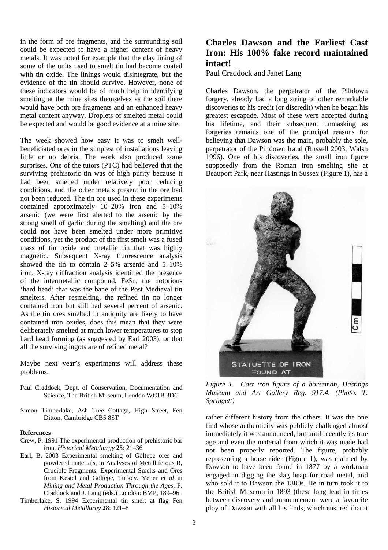in the form of ore fragments, and the surrounding soil could be expected to have a higher content of heavy metals. It was noted for example that the clay lining of some of the units used to smelt tin had become coated with tin oxide. The linings would disintegrate, but the evidence of the tin should survive. However, none of these indicators would be of much help in identifying smelting at the mine sites themselves as the soil there would have both ore fragments and an enhanced heavy metal content anyway. Droplets of smelted metal could be expected and would be good evidence at a mine site.

The week showed how easy it was to smelt wellbeneficiated ores in the simplest of installations leaving little or no debris. The work also produced some surprises. One of the tutors (PTC) had believed that the surviving prehistoric tin was of high purity because it had been smelted under relatively poor reducing conditions, and the other metals present in the ore had not been reduced. The tin ore used in these experiments contained approximately 10–20% iron and 5–10% arsenic (we were first alerted to the arsenic by the strong smell of garlic during the smelting) and the ore could not have been smelted under more primitive conditions, yet the product of the first smelt was a fused mass of tin oxide and metallic tin that was highly magnetic. Subsequent X-ray fluorescence analysis showed the tin to contain 2–5% arsenic and 5–10% iron. X-ray diffraction analysis identified the presence of the intermetallic compound, FeSn, the notorious 'hard head' that was the bane of the Post Medieval tin smelters. After resmelting, the refined tin no longer contained iron but still had several percent of arsenic. As the tin ores smelted in antiquity are likely to have contained iron oxides, does this mean that they were deliberately smelted at much lower temperatures to stop hard head forming (as suggested by Earl 2003), or that all the surviving ingots are of refined metal?

Maybe next year's experiments will address these problems.

- Paul Craddock, Dept. of Conservation, Documentation and Science, The British Museum, London WC1B 3DG
- Simon Timberlake, Ash Tree Cottage, High Street, Fen Ditton, Cambridge CB5 8ST

#### **References**

- Crew, P. 1991 The experimental production of prehistoric bar iron. *Historical Metallurgy* **25**: 21–36
- Earl, B. 2003 Experimental smelting of Göltepe ores and powdered materials, in Analyses of Metalliferous R, Crucible Fragments, Experimental Smelts and Ores from Kestel and Göltepe, Turkey. Yener *et al* in *Mining and Metal Production Through the Ages*, P. Craddock and J. Lang (eds.) London: BMP, 189–96.
- Timberlake, S. 1994 Experimental tin smelt at flag Fen *Historical Metallurgy* **28**: 121–8

## **Charles Dawson and the Earliest Cast Iron: His 100% fake record maintained intact!**

Paul Craddock and Janet Lang

Charles Dawson, the perpetrator of the Piltdown forgery, already had a long string of other remarkable discoveries to his credit (or discredit) when he began his greatest escapade. Most of these were accepted during his lifetime, and their subsequent unmasking as forgeries remains one of the principal reasons for believing that Dawson was the main, probably the sole, perpetrator of the Piltdown fraud (Russell 2003; Walsh 1996). One of his discoveries, the small iron figure supposedly from the Roman iron smelting site at Beauport Park, near Hastings in Sussex (Figure 1), has a



*Figure 1. Cast iron figure of a horseman, Hastings Museum and Art Gallery Reg. 917.4. (Photo. T. Springett)* 

rather different history from the others. It was the one find whose authenticity was publicly challenged almost immediately it was announced, but until recently its true age and even the material from which it was made had not been properly reported. The figure, probably representing a horse rider (Figure 1), was claimed by Dawson to have been found in 1877 by a workman engaged in digging the slag heap for road metal, and who sold it to Dawson the 1880s. He in turn took it to the British Museum in 1893 (these long lead in times between discovery and announcement were a favourite ploy of Dawson with all his finds, which ensured that it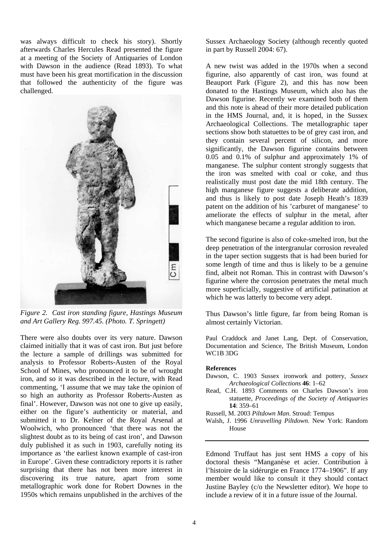was always difficult to check his story). Shortly afterwards Charles Hercules Read presented the figure at a meeting of the Society of Antiquaries of London with Dawson in the audience (Read 1893). To what must have been his great mortification in the discussion that followed the authenticity of the figure was challenged.



*Figure 2. Cast iron standing figure, Hastings Museum and Art Gallery Reg. 997.45. (Photo. T. Springett)* 

There were also doubts over its very nature. Dawson claimed initially that it was of cast iron. But just before the lecture a sample of drillings was submitted for analysis to Professor Roberts-Austen of the Royal School of Mines, who pronounced it to be of wrought iron, and so it was described in the lecture, with Read commenting, 'I assume that we may take the opinion of so high an authority as Professor Roberts-Austen as final'. However, Dawson was not one to give up easily, either on the figure's authenticity or material, and submitted it to Dr. Kelner of the Royal Arsenal at Woolwich, who pronounced 'that there was not the slightest doubt as to its being of cast iron', and Dawson duly published it as such in 1903, carefully noting its importance as 'the earliest known example of cast-iron in Europe'. Given these contradictory reports it is rather surprising that there has not been more interest in discovering its true nature, apart from some metallographic work done for Robert Downes in the 1950s which remains unpublished in the archives of the

Sussex Archaeology Society (although recently quoted in part by Russell 2004: 67).

A new twist was added in the 1970s when a second figurine, also apparently of cast iron, was found at Beauport Park (Figure 2), and this has now been donated to the Hastings Museum, which also has the Dawson figurine. Recently we examined both of them and this note is ahead of their more detailed publication in the HMS Journal, and, it is hoped, in the Sussex Archaeological Collections. The metallographic taper sections show both statuettes to be of grey cast iron, and they contain several percent of silicon, and more significantly, the Dawson figurine contains between 0.05 and 0.1% of sulphur and approximately 1% of manganese. The sulphur content strongly suggests that the iron was smelted with coal or coke, and thus realistically must post date the mid 18th century. The high manganese figure suggests a deliberate addition, and thus is likely to post date Joseph Heath's 1839 patent on the addition of his 'carburet of manganese' to ameliorate the effects of sulphur in the metal, after which manganese became a regular addition to iron.

The second figurine is also of coke-smelted iron, but the deep penetration of the intergranular corrosion revealed in the taper section suggests that is had been buried for some length of time and thus is likely to be a genuine find, albeit not Roman. This in contrast with Dawson's figurine where the corrosion penetrates the metal much more superficially, suggestive of artificial patination at which he was latterly to become very adept.

Thus Dawson's little figure, far from being Roman is almost certainly Victorian.

Paul Craddock and Janet Lang, Dept. of Conservation, Documentation and Science, The British Museum, London WC1B 3DG

#### **References**

- Dawson, C. 1903 Sussex ironwork and pottery, *Sussex Archaeological Collections* **46**: 1–62
- Read, C.H. 1893 Comments on Charles Dawson's iron statuette, *Proceedings of the Society of Antiquaries* **14**: 359–61
- Russell, M. 2003 *Piltdown Man*. Stroud: Tempus

Edmond Truffaut has just sent HMS a copy of his doctoral thesis "Manganèse et acier. Contribution à l'histoire de la sidérurgie en France 1774–1906". If any member would like to consult it they should contact Justine Bayley (c/o the Newsletter editor). We hope to include a review of it in a future issue of the Journal.

Walsh, J. 1996 *Unravelling Piltdown*. New York: Random House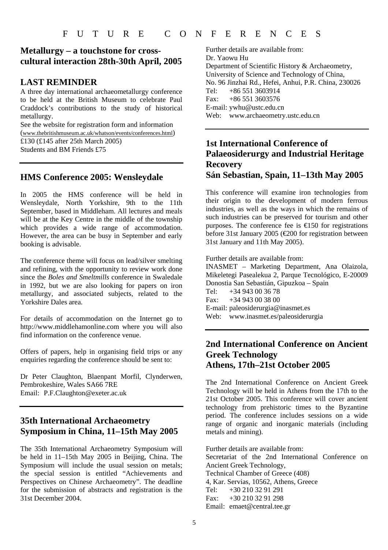#### **Metallurgy – a touchstone for crosscultural interaction 28th-30th April, 2005**

#### **LAST REMINDER**

A three day international archaeometallurgy conference to be held at the British Museum to celebrate Paul Craddock's contributions to the study of historical metallurgy.

See the website for registration form and information (www.thebritishmuseum.ac.uk/whatson/events/conferences.html) £130 (£145 after 25th March 2005) Students and BM Friends £75

#### **HMS Conference 2005: Wensleydale**

In 2005 the HMS conference will be held in Wensleydale, North Yorkshire, 9th to the 11th September, based in Middleham. All lectures and meals will be at the Key Centre in the middle of the township which provides a wide range of accommodation. However, the area can be busy in September and early booking is advisable.

The conference theme will focus on lead/silver smelting and refining, with the opportunity to review work done since the *Boles and Smeltmills* conference in Swaledale in 1992, but we are also looking for papers on iron metallurgy, and associated subjects, related to the Yorkshire Dales area.

For details of accommodation on the Internet go to http://www.middlehamonline.com where you will also find information on the conference venue.

Offers of papers, help in organising field trips or any enquiries regarding the conference should be sent to:

Dr Peter Claughton, Blaenpant Morfil, Clynderwen, Pembrokeshire, Wales SA66 7RE Email: P.F.Claughton@exeter.ac.uk

## **35th International Archaeometry Symposium in China, 11–15th May 2005**

The 35th International Archaeometry Symposium will be held in 11–15th May 2005 in Beijing, China. The Symposium will include the usual session on metals; the special session is entitled "Achievements and Perspectives on Chinese Archaeometry". The deadline for the submission of abstracts and registration is the 31st December 2004.

Further details are available from: Dr. Yaowu Hu Department of Scientific History & Archaeometry, University of Science and Technology of China, No. 96 Jinzhai Rd., Hefei, Anhui, P.R. China, 230026  $Tel: +86,551,3603914$ Fax:  $+86,551,3603576$ E-mail: ywhu@ustc.edu.cn Web: www.archaeometry.ustc.edu.cn

## **1st International Conference of Palaeosiderurgy and Industrial Heritage Recovery Sán Sebastian, Spain, 11–13th May 2005**

This conference will examine iron technologies from their origin to the development of modern ferrous industries, as well as the ways in which the remains of such industries can be preserved for tourism and other purposes. The conference fee is  $\in$  150 for registrations before 31st January 2005 (€200 for registration between 31st January and 11th May 2005).

Further details are available from: INASMET – Marketing Department, Ana Olaizola, Mikeletegi Pasealekua 2, Parque Tecnológico, E-20009 Donostia San Sebastián, Gipuzkoa – Spain Tel: +34 943 00 36 78 Fax: +34 943 00 38 00 E-mail: paleosiderurgia@inasmet.es Web: www.inasmet.es/paleosiderurgia

#### **2nd International Conference on Ancient Greek Technology Athens, 17th–21st October 2005**

The 2nd International Conference on Ancient Greek Technology will be held in Athens from the 17th to the 21st October 2005. This conference will cover ancient technology from prehistoric times to the Byzantine period. The conference includes sessions on a wide range of organic and inorganic materials (including metals and mining).

Further details are available from: Secretariat of the 2nd International Conference on Ancient Greek Technology, Technical Chamber of Greece (408) 4, Kar. Servias, 10562, Athens, Greece Tel: +30 210 32 91 291 Fax: +30 210 32 91 298 Email: emaet@central.tee.gr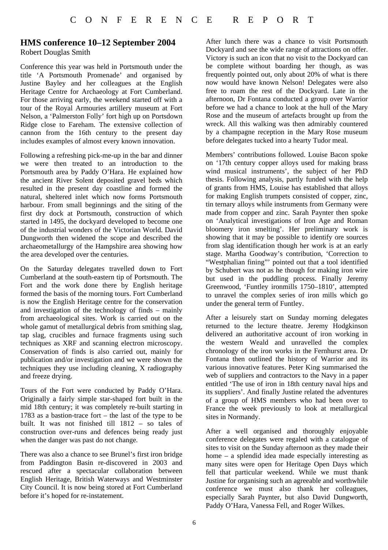#### **HMS conference 10–12 September 2004**  Robert Douglas Smith

Conference this year was held in Portsmouth under the title 'A Portsmouth Promenade' and organised by Justine Bayley and her colleagues at the English Heritage Centre for Archaeology at Fort Cumberland. For those arriving early, the weekend started off with a tour of the Royal Armouries artillery museum at Fort Nelson, a 'Palmerston Folly' fort high up on Portsdown Ridge close to Fareham. The extensive collection of cannon from the 16th century to the present day includes examples of almost every known innovation.

Following a refreshing pick-me-up in the bar and dinner we were then treated to an introduction to the Portsmouth area by Paddy O'Hara. He explained how the ancient River Solent deposited gravel beds which resulted in the present day coastline and formed the natural, sheltered inlet which now forms Portsmouth harbour. From small beginnings and the siting of the first dry dock at Portsmouth, construction of which started in 1495, the dockyard developed to become one of the industrial wonders of the Victorian World. David Dungworth then widened the scope and described the archaeometallurgy of the Hampshire area showing how the area developed over the centuries.

On the Saturday delegates travelled down to Fort Cumberland at the south-eastern tip of Portsmouth. The Fort and the work done there by English heritage formed the basis of the morning tours. Fort Cumberland is now the English Heritage centre for the conservation and investigation of the technology of finds – mainly from archaeological sites. Work is carried out on the whole gamut of metallurgical debris from smithing slag, tap slag, crucibles and furnace fragments using such techniques as XRF and scanning electron microscopy. Conservation of finds is also carried out, mainly for publication and/or investigation and we were shown the techniques they use including cleaning, X radiography and freeze drying.

Tours of the Fort were conducted by Paddy O'Hara. Originally a fairly simple star-shaped fort built in the mid 18th century; it was completely re-built starting in 1783 as a bastion-trace fort – the last of the type to be built. It was not finished till 1812 – so tales of construction over-runs and defences being ready just when the danger was past do not change.

There was also a chance to see Brunel's first iron bridge from Paddington Basin re-discovered in 2003 and rescued after a spectacular collaboration between English Heritage, British Waterways and Westminster City Council. It is now being stored at Fort Cumberland before it's hoped for re-instatement.

After lunch there was a chance to visit Portsmouth Dockyard and see the wide range of attractions on offer. Victory is such an icon that no visit to the Dockyard can be complete without boarding her though, as was frequently pointed out, only about 20% of what is there now would have known Nelson! Delegates were also free to roam the rest of the Dockyard. Late in the afternoon, Dr Fontana conducted a group over Warrior before we had a chance to look at the hull of the Mary Rose and the museum of artefacts brought up from the wreck. All this walking was then admirably countered by a champagne reception in the Mary Rose museum before delegates tucked into a hearty Tudor meal.

Members' contributions followed. Louise Bacon spoke on '17th century copper alloys used for making brass wind musical instruments', the subject of her PhD thesis. Following analysis, partly funded with the help of grants from HMS, Louise has established that alloys for making English trumpets consisted of copper, zinc, tin ternary alloys while instruments from Germany were made from copper and zinc. Sarah Paynter then spoke on 'Analytical investigations of Iron Age and Roman bloomery iron smelting'. Her preliminary work is showing that it may be possible to identify ore sources from slag identification though her work is at an early stage. Martha Goodway's contribution, 'Correction to "Westphalian fining"' pointed out that a tool identified by Schubert was not as he though for making iron wire but used in the puddling process. Finally Jeremy Greenwood, 'Funtley ironmills 1750–1810', attempted to unravel the complex series of iron mills which go under the general term of Funtley.

After a leisurely start on Sunday morning delegates returned to the lecture theatre. Jeremy Hodgkinson delivered an authoritative account of iron working in the western Weald and unravelled the complex chronology of the iron works in the Fernhurst area. Dr Fontana then outlined the history of Warrior and its various innovative features. Peter King summarised the web of suppliers and contractors to the Navy in a paper entitled 'The use of iron in 18th century naval hips and its suppliers'. And finally Justine related the adventures of a group of HMS members who had been over to France the week previously to look at metallurgical sites in Normandy.

After a well organised and thoroughly enjoyable conference delegates were regaled with a catalogue of sites to visit on the Sunday afternoon as they made their home – a splendid idea made especially interesting as many sites were open for Heritage Open Days which fell that particular weekend. While we must thank Justine for organising such an agreeable and worthwhile conference we must also thank her colleagues, especially Sarah Paynter, but also David Dungworth, Paddy O'Hara, Vanessa Fell, and Roger Wilkes.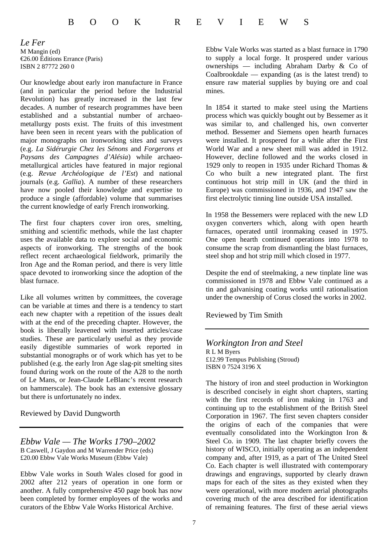*Le Fer*  M Mangin (ed) €26.00 Éditions Errance (Paris) ISBN 2 87772 260 0

Our knowledge about early iron manufacture in France (and in particular the period before the Industrial Revolution) has greatly increased in the last few decades. A number of research programmes have been established and a substantial number of archaeometallurgy posts exist. The fruits of this investment have been seen in recent years with the publication of major monographs on ironworking sites and surveys (e.g. *La Sidérurgie Chez les Sénons* and *Forgerons et Paysans des Campagnes d'Alésia*) while archaeometallurgical articles have featured in major regional (e.g. *Revue Archéologique de l'Est*) and national journals (e.g. *Gallia*). A number of these researchers have now pooled their knowledge and expertise to produce a single (affordable) volume that summarises the current knowledge of early French ironworking.

The first four chapters cover iron ores, smelting, smithing and scientific methods, while the last chapter uses the available data to explore social and economic aspects of ironworking. The strengths of the book reflect recent archaeological fieldwork, primarily the Iron Age and the Roman period, and there is very little space devoted to ironworking since the adoption of the blast furnace.

Like all volumes written by committees, the coverage can be variable at times and there is a tendency to start each new chapter with a repetition of the issues dealt with at the end of the preceding chapter. However, the book is liberally leavened with inserted articles/case studies. These are particularly useful as they provide easily digestible summaries of work reported in substantial monographs or of work which has yet to be published (e.g. the early Iron Age slag-pit smelting sites found during work on the route of the A28 to the north of Le Mans, or Jean-Claude LeBlanc's recent research on hammerscale). The book has an extensive glossary but there is unfortunately no index.

Reviewed by David Dungworth

*Ebbw Vale — The Works 1790–2002* B Caswell, J Gaydon and M Warrender Price (eds) £20.00 Ebbw Vale Works Museum (Ebbw Vale)

Ebbw Vale works in South Wales closed for good in 2002 after 212 years of operation in one form or another. A fully comprehensive 450 page book has now been completed by former employees of the works and curators of the Ebbw Vale Works Historical Archive.

Ebbw Vale Works was started as a blast furnace in 1790 to supply a local forge. It prospered under various ownerships — including Abraham Darby & Co of Coalbrookdale — expanding (as is the latest trend) to ensure raw material supplies by buying ore and coal mines.

In 1854 it started to make steel using the Martiens process which was quickly bought out by Bessemer as it was similar to, and challenged his, own converter method. Bessemer and Siemens open hearth furnaces were installed. It prospered for a while after the First World War and a new sheet mill was added in 1912. However, decline followed and the works closed in 1929 only to reopen in 1935 under Richard Thomas & Co who built a new integrated plant. The first continuous hot strip mill in UK (and the third in Europe) was commissioned in 1936, and 1947 saw the first electrolytic tinning line outside USA installed.

In 1958 the Bessemers were replaced with the new LD oxygen converters which, along with open hearth furnaces, operated until ironmaking ceased in 1975. One open hearth continued operations into 1978 to consume the scrap from dismantling the blast furnaces, steel shop and hot strip mill which closed in 1977.

Despite the end of steelmaking, a new tinplate line was commissioned in 1978 and Ebbw Vale continued as a tin and galvanising coating works until rationalisation under the ownership of Corus closed the works in 2002.

Reviewed by Tim Smith

#### *Workington Iron and Steel*

R L M Byers £12.99 Tempus Publishing (Stroud) ISBN 0 7524 3196 X

The history of iron and steel production in Workington is described concisely in eight short chapters, starting with the first records of iron making in 1763 and continuing up to the establishment of the British Steel Corporation in 1967. The first seven chapters consider the origins of each of the companies that were eventually consolidated into the Workington Iron & Steel Co. in 1909. The last chapter briefly covers the history of WISCO, initially operating as an independent company and, after 1919, as a part of The United Steel Co. Each chapter is well illustrated with contemporary drawings and engravings, supported by clearly drawn maps for each of the sites as they existed when they were operational, with more modern aerial photographs covering much of the area described for identification of remaining features. The first of these aerial views